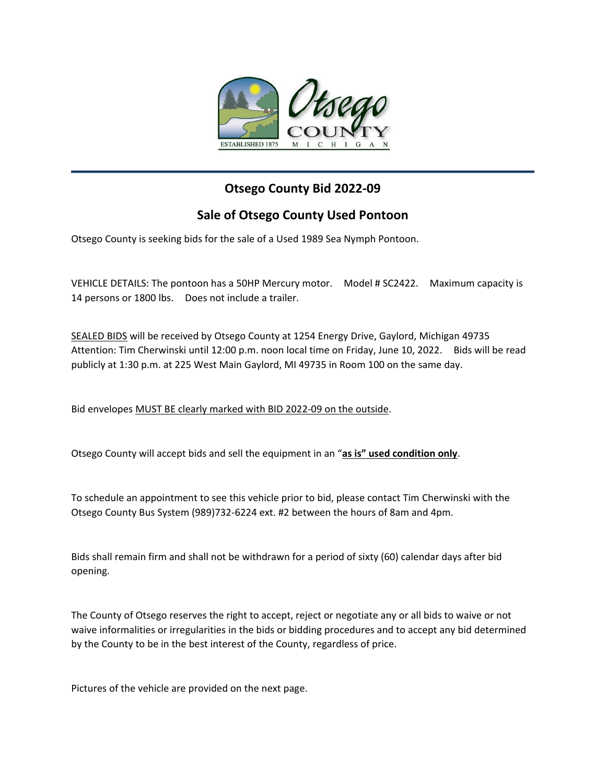

## **Otsego County Bid 2022-09**

## **Sale of Otsego County Used Pontoon**

Otsego County is seeking bids for the sale of a Used 1989 Sea Nymph Pontoon.

VEHICLE DETAILS: The pontoon has a 50HP Mercury motor. Model # SC2422. Maximum capacity is 14 persons or 1800 lbs. Does not include a trailer.

SEALED BIDS will be received by Otsego County at 1254 Energy Drive, Gaylord, Michigan 49735 Attention: Tim Cherwinski until 12:00 p.m. noon local time on Friday, June 10, 2022. Bids will be read publicly at 1:30 p.m. at 225 West Main Gaylord, MI 49735 in Room 100 on the same day.

Bid envelopes MUST BE clearly marked with BID 2022-09 on the outside.

Otsego County will accept bids and sell the equipment in an "**as is" used condition only**.

To schedule an appointment to see this vehicle prior to bid, please contact Tim Cherwinski with the Otsego County Bus System (989)732-6224 ext. #2 between the hours of 8am and 4pm.

Bids shall remain firm and shall not be withdrawn for a period of sixty (60) calendar days after bid opening.

The County of Otsego reserves the right to accept, reject or negotiate any or all bids to waive or not waive informalities or irregularities in the bids or bidding procedures and to accept any bid determined by the County to be in the best interest of the County, regardless of price.

Pictures of the vehicle are provided on the next page.